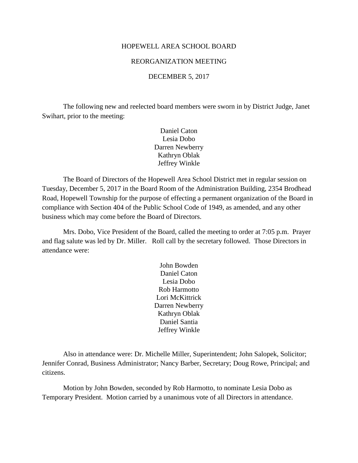#### HOPEWELL AREA SCHOOL BOARD

## REORGANIZATION MEETING

#### DECEMBER 5, 2017

The following new and reelected board members were sworn in by District Judge, Janet Swihart, prior to the meeting:

> Daniel Caton Lesia Dobo Darren Newberry Kathryn Oblak Jeffrey Winkle

The Board of Directors of the Hopewell Area School District met in regular session on Tuesday, December 5, 2017 in the Board Room of the Administration Building, 2354 Brodhead Road, Hopewell Township for the purpose of effecting a permanent organization of the Board in compliance with Section 404 of the Public School Code of 1949, as amended, and any other business which may come before the Board of Directors.

Mrs. Dobo, Vice President of the Board, called the meeting to order at 7:05 p.m. Prayer and flag salute was led by Dr. Miller. Roll call by the secretary followed. Those Directors in attendance were:

> John Bowden Daniel Caton Lesia Dobo Rob Harmotto Lori McKittrick Darren Newberry Kathryn Oblak Daniel Santia Jeffrey Winkle

Also in attendance were: Dr. Michelle Miller, Superintendent; John Salopek, Solicitor; Jennifer Conrad, Business Administrator; Nancy Barber, Secretary; Doug Rowe, Principal; and citizens.

Motion by John Bowden, seconded by Rob Harmotto, to nominate Lesia Dobo as Temporary President. Motion carried by a unanimous vote of all Directors in attendance.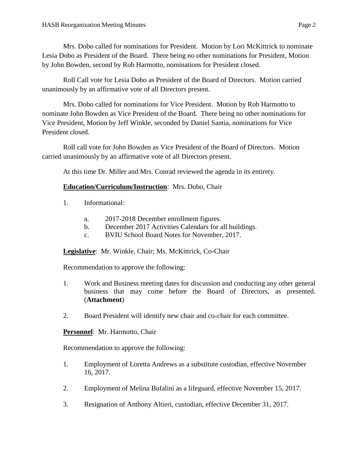Mrs. Dobo called for nominations for President. Motion by Lori McKittrick to nominate Lesia Dobo as President of the Board. There being no other nominations for President, Motion by John Bowden, second by Rob Harmotto, nominations for President closed.

Roll Call vote for Lesia Dobo as President of the Board of Directors. Motion carried unanimously by an affirmative vote of all Directors present.

Mrs. Dobo called for nominations for Vice President. Motion by Rob Harmotto to nominate John Bowden as Vice President of the Board. There being no other nominations for Vice President, Motion by Jeff Winkle, seconded by Daniel Santia, nominations for Vice President closed.

Roll call vote for John Bowden as Vice President of the Board of Directors. Motion carried unanimously by an affirmative vote of all Directors present.

At this time Dr. Miller and Mrs. Conrad reviewed the agenda in its entirety.

# **Education/Curriculum/Instruction**: Mrs. Dobo, Chair

- 1. Informational:
	- a. 2017-2018 December enrollment figures.
	- b. December 2017 Activities Calendars for all buildings.
	- c. BVIU School Board Notes for November, 2017.

**Legislative**: Mr. Winkle, Chair; Ms. McKittrick, Co-Chair

Recommendation to approve the following:

- 1. Work and Business meeting dates for discussion and conducting any other general business that may come before the Board of Directors, as presented. (**Attachment**)
- 2. Board President will identify new chair and co-chair for each committee.

**Personnel**: Mr. Harmotto, Chair

Recommendation to approve the following:

- 1. Employment of Loretta Andrews as a substitute custodian, effective November 16, 2017.
- 2. Employment of Melina Bufalini as a lifeguard, effective November 15, 2017.
- 3. Resignation of Anthony Altieri, custodian, effective December 31, 2017.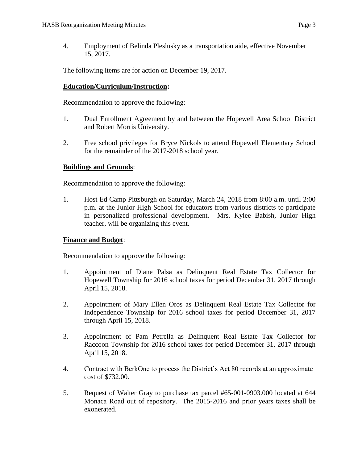4. Employment of Belinda Pleslusky as a transportation aide, effective November 15, 2017.

The following items are for action on December 19, 2017.

# **Education/Curriculum/Instruction:**

Recommendation to approve the following:

- 1. Dual Enrollment Agreement by and between the Hopewell Area School District and Robert Morris University.
- 2. Free school privileges for Bryce Nickols to attend Hopewell Elementary School for the remainder of the 2017-2018 school year.

# **Buildings and Grounds**:

Recommendation to approve the following:

1. Host Ed Camp Pittsburgh on Saturday, March 24, 2018 from 8:00 a.m. until 2:00 p.m. at the Junior High School for educators from various districts to participate in personalized professional development. Mrs. Kylee Babish, Junior High teacher, will be organizing this event.

# **Finance and Budget**:

Recommendation to approve the following:

- 1. Appointment of Diane Palsa as Delinquent Real Estate Tax Collector for Hopewell Township for 2016 school taxes for period December 31, 2017 through April 15, 2018.
- 2. Appointment of Mary Ellen Oros as Delinquent Real Estate Tax Collector for Independence Township for 2016 school taxes for period December 31, 2017 through April 15, 2018.
- 3. Appointment of Pam Petrella as Delinquent Real Estate Tax Collector for Raccoon Township for 2016 school taxes for period December 31, 2017 through April 15, 2018.
- 4. Contract with BerkOne to process the District's Act 80 records at an approximate cost of \$732.00.
- 5. Request of Walter Gray to purchase tax parcel #65-001-0903.000 located at 644 Monaca Road out of repository. The 2015-2016 and prior years taxes shall be exonerated.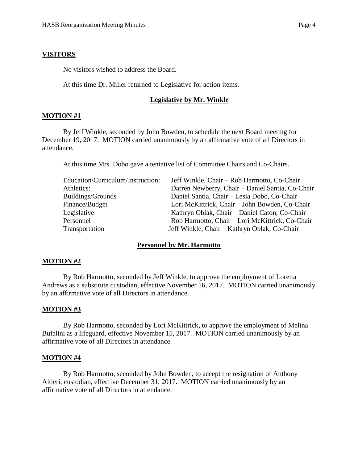#### **VISITORS**

No visitors wished to address the Board.

At this time Dr. Miller returned to Legislative for action items.

### **Legislative by Mr. Winkle**

## **MOTION #1**

By Jeff Winkle, seconded by John Bowden, to schedule the next Board meeting for December 19, 2017. MOTION carried unanimously by an affirmative vote of all Directors in attendance.

At this time Mrs. Dobo gave a tentative list of Committee Chairs and Co-Chairs.

| Education/Curriculum/Instruction: | Jeff Winkle, Chair – Rob Harmotto, Co-Chair      |
|-----------------------------------|--------------------------------------------------|
| Athletics:                        | Darren Newberry, Chair - Daniel Santia, Co-Chair |
| Buildings/Grounds                 | Daniel Santia, Chair - Lesia Dobo, Co-Chair      |
| Finance/Budget                    | Lori McKittrick, Chair - John Bowden, Co-Chair   |
| Legislative                       | Kathryn Oblak, Chair – Daniel Caton, Co-Chair    |
| Personnel                         | Rob Harmotto, Chair - Lori McKittrick, Co-Chair  |
| Transportation                    | Jeff Winkle, Chair - Kathryn Oblak, Co-Chair     |

## **Personnel by Mr. Harmotto**

## **MOTION #2**

By Rob Harmotto, seconded by Jeff Winkle, to approve the employment of Loretta Andrews as a substitute custodian, effective November 16, 2017. MOTION carried unanimously by an affirmative vote of all Directors in attendance.

#### **MOTION #3**

By Rob Harmotto, seconded by Lori McKittrick, to approve the employment of Melina Bufalini as a lifeguard, effective November 15, 2017. MOTION carried unanimously by an affirmative vote of all Directors in attendance.

#### **MOTION #4**

By Rob Harmotto, seconded by John Bowden, to accept the resignation of Anthony Altieri, custodian, effective December 31, 2017. MOTION carried unanimously by an affirmative vote of all Directors in attendance.